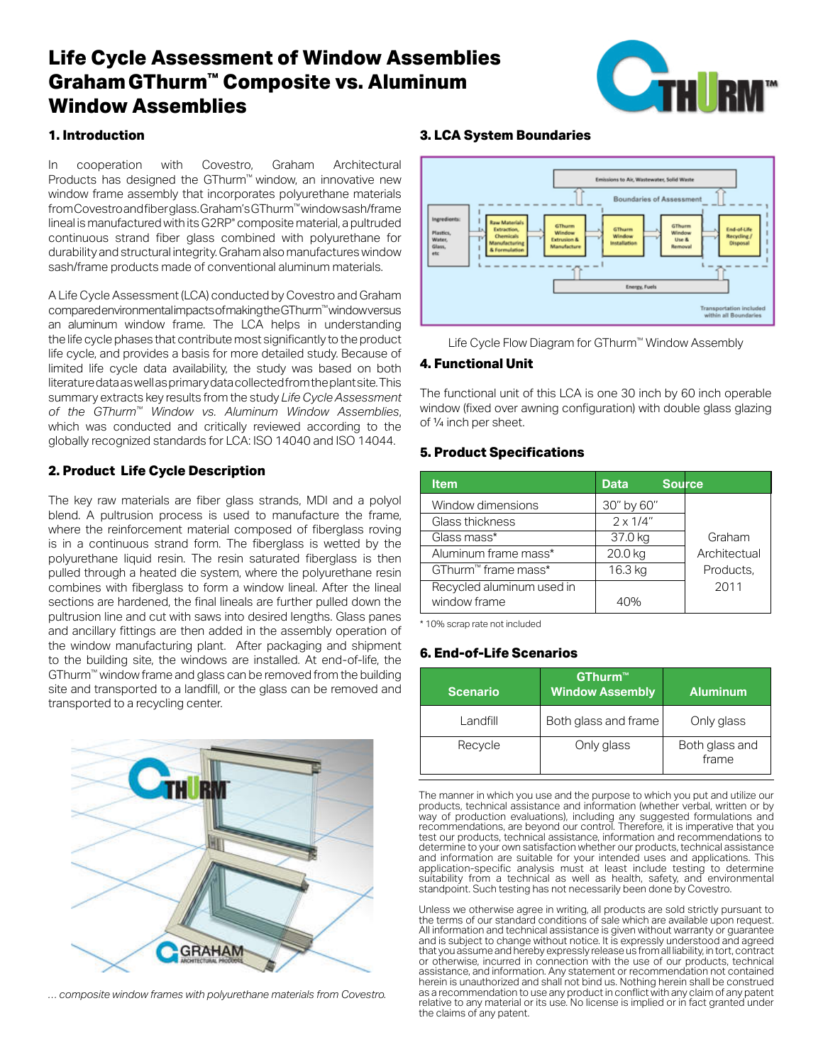# **Life Cycle Assessment of Window Assemblies GrahamGThurm™ Composite vs. Aluminum Window Assemblies**



## **1. Introduction**

In cooperation with Covestro, Graham Architectural Products has designed the GThurm™ window, an innovative new Products has designed the Grimmin window, an imporative new virtuous state extending window frame assembly that incorporates polyurethane materials from Covestro and fiber glass. Graham's GThurm™ window sash/frame lineal is manufactured with its G2RP® composite material, a pultruded continuous strand fiber glass combined with polyurethane for durability and structural integrity. Graham also manufactures window adiability and structural integrity. Oranam also mandiactures window frame products made of conventional aluminum materials. **Lion with Covestro, Graham Architectural** and the contract of Covernant Covernant of Thurmas and Thurmas and Thurmas and Thurmas and Thurmas and Thurmas and Thurmas and Thurmas and Thurmas and Thurmas and Thurmas and Thu as internet products made or conventional alumnum materials.

A Life Cycle Assessment (LCA) conducted by Covestro and Graham compared en vironmental impacts of making the GT hurm™ window versus an aluminum window frame. The LCA helps in understanding the life cycle phases that contribute most significantly to the product life cycle, and provides a basis for more detailed study. Because of limited life cycle data availability, the study was based on both literature data as well as primary data collected from the plant site. This  $\,$ summary extracts key results from the study *Life Cycle Assessment* of the GThurm<sup>™</sup> Window vs. Aluminum Window Assemblies, which was conducted and critically reviewed according to the millon was conducted and onliedly reviewed decording to the plant site of the plant site. The plant site of the Life Cycle Assessment (LCA) conducted by Covestro and Graha paper extracts key results from the study *Life Cycle Assessment of* 

## **2. Product Life Cycle Description** *Assemblies*, which was conducted and critically reviewed according

The key raw materials are fiber glass strands, MDI and a polyol blend. A pultrusion process is used to manufacture the frame, bicha. A paintasion process is used to manufacture the name, where the reinforcement material composed of fiberglass roving is in a continuous strand form. The fiberglass is wetted by the  $\overline{\phantom{a}}$ polyurethane liquid resin. The resin saturated fiberglass is then pulled through a heated die system, where the polyurethane resin combines with fiberglass to form a window lineal. After the lineal sections are hardened, the final lineals are further pulled down the pultrusion line and cut with saws into desired lengths. Glass panes pultrusion line and cut with saws into desired lengths. Glass panes and ancillary fittings are then added in the assembly operation of the window manufacturing plant. After packaging and shipment to the building site, the windows are installed. At end-of-life, the  $GThurm<sup>m</sup>$  window frame and glass can be removed from the building Site and transported to a landfill, or the glass can be removed and site and transported to a landfill, or the glass can be removed and the and damported to a randmit of the glass can be removed a<br>transported to a recycling center. in usion i ili is anu cut with saws lino ussiisu isi yunis. Olass pan<br>...  $t$  is ported to a recycling center.



*… composite window frames with polyurethane materials from Covestro. … composite window frames with polyurethane materials from*

#### **3. LCA System Boundaries**



Life Cycle Flow Diagram for GThurm™ Window Assembly

## **4. Functional Unit**

window (fixed over awning configuration) with double glass glazing The functional unit of this LCA is one 30 inch by 60 inch operable of ¼ inch per sheet.

## **5. Product Specifications**

| <b>Item</b>                     | <b>Data</b>      | <b>Source</b> |
|---------------------------------|------------------|---------------|
| Window dimensions               | 30" by 60"       |               |
| Glass thickness                 | $2 \times 1/4$ " |               |
| Glass mass*                     | 37.0 kg          | Graham        |
| Aluminum frame mass*            | 20.0 kg          | Architectual  |
| GThurm <sup>™</sup> frame mass* | 16.3 kg          | Products,     |
| Recycled aluminum used in       |                  | 2011          |
| window frame                    | 40%              |               |

**4. Functional Unit** \* 10% scrap rate not included

## **6. End-of-Life Scenarios**

Glass the control of the control of the control of the control of the control of the control of the control of

| <b>Scenario</b> | GThurm™<br><b>Window Assembly</b> | <b>Aluminum</b>         |
|-----------------|-----------------------------------|-------------------------|
| Landfill        | Both glass and frame              | Only glass              |
| Recycle         | Only glass                        | Both glass and<br>frame |

products, technical assistance and information (whether verbal, written or by way of production evaluations), including any suggested formulations and recommendations, are beyond our control. Therefore, it is imperative that you determine to your own satisfaction whether our products, technical assistance application-specific analysis must at least include testing to determine application-specific analysis must at least include testing to determine suitability from a technical as well as health, safety, and environmental standpoint. Such testing has not necessarily been done by Covestro. The manner in which you use and the purpose to which you put and utilize our test our products, technical assistance, information and recommendations to and information are suitable for your intended uses and applications. This

All information and technical assistance is given without warranty or guarantee or otherwise, incurred in connection with the use of our products, technical recommendation to use any product in conflict with any olain decommendation.<br>as a recommendation to use any product in conflict with any claim of any patent<br>relative to any material or its use. No lie enoce is implied or i as a recommendation to use any product in conflict with any claim or any patent<br>relative to any material or its use. No license is implied or in fact granted under Unless we otherwise agree in writing, all products are sold strictly pursuant to the terms of our standard conditions of sale which are available upon request. and is subject to change without notice. It is expressly understood and agreed that you assume and hereby expressly release us from all liability, in tort, contract assistance, and information. Any statement or recommendation not contained herein is unauthorized and shall not bind us. Nothing herein shall be construed the claims of any patent.